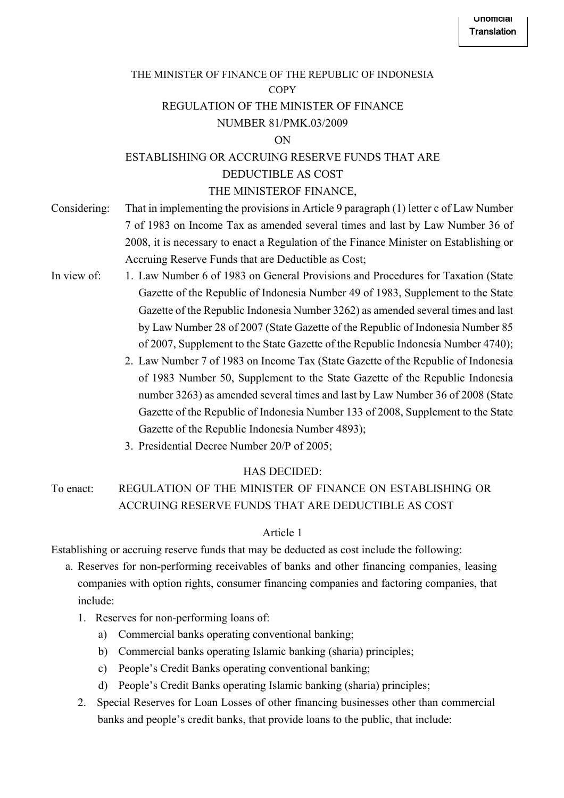# THE MINISTER OF FINANCE OF THE REPUBLIC OF INDONESIA **COPY** REGULATION OF THE MINISTER OF FINANCE NUMBER 81/PMK.03/2009

#### ON

## ESTABLISHING OR ACCRUING RESERVE FUNDS THAT ARE DEDUCTIBLE AS COST THE MINISTEROF FINANCE,

- Considering: That in implementing the provisions in Article 9 paragraph (1) letter c of Law Number 7 of 1983 on Income Tax as amended several times and last by Law Number 36 of 2008, it is necessary to enact a Regulation of the Finance Minister on Establishing or Accruing Reserve Funds that are Deductible as Cost;
- In view of: 1. Law Number 6 of 1983 on General Provisions and Procedures for Taxation (State Gazette of the Republic of Indonesia Number 49 of 1983, Supplement to the State Gazette of the Republic Indonesia Number 3262) as amended several times and last by Law Number 28 of 2007 (State Gazette of the Republic of Indonesia Number 85 of 2007, Supplement to the State Gazette of the Republic Indonesia Number 4740);
	- 2. Law Number 7 of 1983 on Income Tax (State Gazette of the Republic of Indonesia of 1983 Number 50, Supplement to the State Gazette of the Republic Indonesia number 3263) as amended several times and last by Law Number 36 of 2008 (State Gazette of the Republic of Indonesia Number 133 of 2008, Supplement to the State Gazette of the Republic Indonesia Number 4893);
	- 3. Presidential Decree Number 20/P of 2005;

## HAS DECIDED:

To enact: REGULATION OF THE MINISTER OF FINANCE ON ESTABLISHING OR ACCRUING RESERVE FUNDS THAT ARE DEDUCTIBLE AS COST

## Article 1

Establishing or accruing reserve funds that may be deducted as cost include the following:

- a. Reserves for non-performing receivables of banks and other financing companies, leasing companies with option rights, consumer financing companies and factoring companies, that include:
	- 1. Reserves for non-performing loans of:
		- a) Commercial banks operating conventional banking;
		- b) Commercial banks operating Islamic banking (sharia) principles;
		- c) People's Credit Banks operating conventional banking;
		- d) People's Credit Banks operating Islamic banking (sharia) principles;
	- 2. Special Reserves for Loan Losses of other financing businesses other than commercial banks and people's credit banks, that provide loans to the public, that include: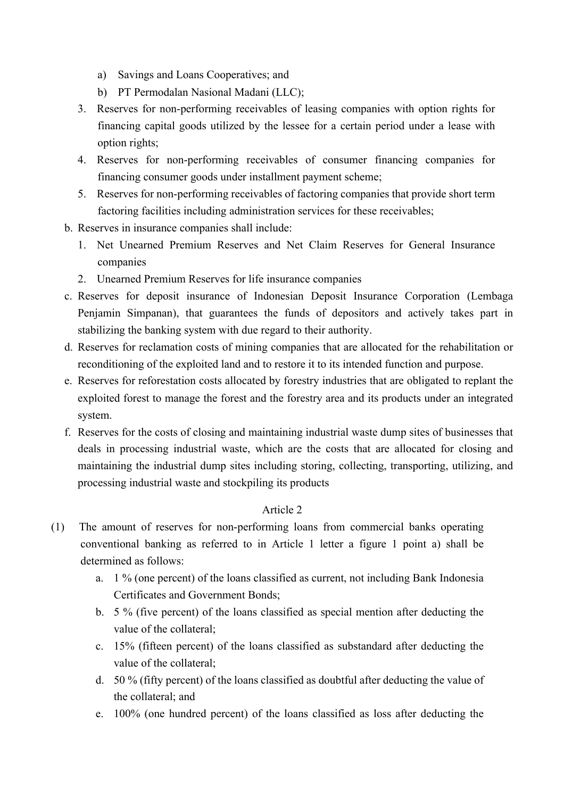- a) Savings and Loans Cooperatives; and
- b) PT Permodalan Nasional Madani (LLC);
- 3. Reserves for non-performing receivables of leasing companies with option rights for financing capital goods utilized by the lessee for a certain period under a lease with option rights;
- 4. Reserves for non-performing receivables of consumer financing companies for financing consumer goods under installment payment scheme;
- 5. Reserves for non-performing receivables of factoring companies that provide short term factoring facilities including administration services for these receivables;
- b. Reserves in insurance companies shall include:
	- 1. Net Unearned Premium Reserves and Net Claim Reserves for General Insurance companies
	- 2. Unearned Premium Reserves for life insurance companies
- c. Reserves for deposit insurance of Indonesian Deposit Insurance Corporation (Lembaga Penjamin Simpanan), that guarantees the funds of depositors and actively takes part in stabilizing the banking system with due regard to their authority.
- d. Reserves for reclamation costs of mining companies that are allocated for the rehabilitation or reconditioning of the exploited land and to restore it to its intended function and purpose.
- e. Reserves for reforestation costs allocated by forestry industries that are obligated to replant the exploited forest to manage the forest and the forestry area and its products under an integrated system.
- f. Reserves for the costs of closing and maintaining industrial waste dump sites of businesses that deals in processing industrial waste, which are the costs that are allocated for closing and maintaining the industrial dump sites including storing, collecting, transporting, utilizing, and processing industrial waste and stockpiling its products

- (1) The amount of reserves for non-performing loans from commercial banks operating conventional banking as referred to in Article 1 letter a figure 1 point a) shall be determined as follows:
	- a. 1 % (one percent) of the loans classified as current, not including Bank Indonesia Certificates and Government Bonds;
	- b. 5 % (five percent) of the loans classified as special mention after deducting the value of the collateral;
	- c. 15% (fifteen percent) of the loans classified as substandard after deducting the value of the collateral;
	- d. 50 % (fifty percent) of the loans classified as doubtful after deducting the value of the collateral; and
	- e. 100% (one hundred percent) of the loans classified as loss after deducting the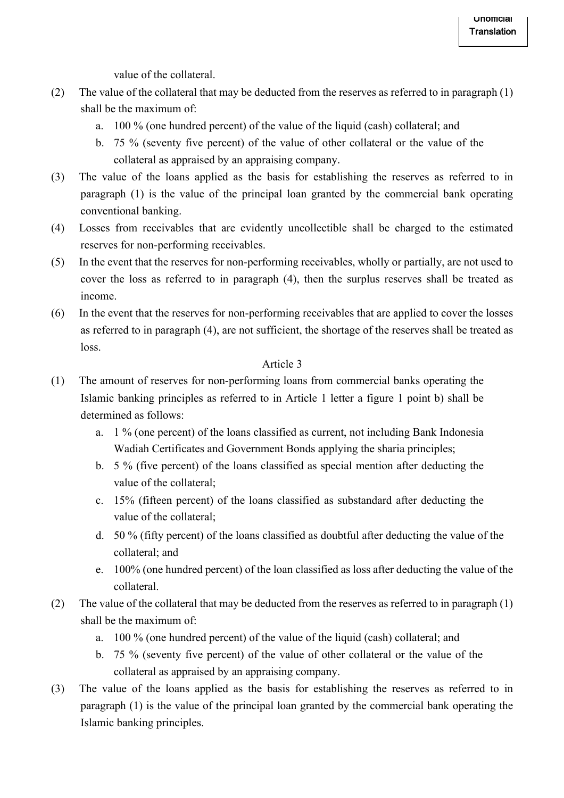value of the collateral.

- (2) The value of the collateral that may be deducted from the reserves as referred to in paragraph (1) shall be the maximum of:
	- a. 100 % (one hundred percent) of the value of the liquid (cash) collateral; and
	- b. 75 % (seventy five percent) of the value of other collateral or the value of the collateral as appraised by an appraising company.
- (3) The value of the loans applied as the basis for establishing the reserves as referred to in paragraph (1) is the value of the principal loan granted by the commercial bank operating conventional banking.
- (4) Losses from receivables that are evidently uncollectible shall be charged to the estimated reserves for non-performing receivables.
- (5) In the event that the reserves for non-performing receivables, wholly or partially, are not used to cover the loss as referred to in paragraph (4), then the surplus reserves shall be treated as income.
- (6) In the event that the reserves for non-performing receivables that are applied to cover the losses as referred to in paragraph (4), are not sufficient, the shortage of the reserves shall be treated as loss.

- (1) The amount of reserves for non-performing loans from commercial banks operating the Islamic banking principles as referred to in Article 1 letter a figure 1 point b) shall be determined as follows:
	- a. 1 % (one percent) of the loans classified as current, not including Bank Indonesia Wadiah Certificates and Government Bonds applying the sharia principles;
	- b. 5 % (five percent) of the loans classified as special mention after deducting the value of the collateral;
	- c. 15% (fifteen percent) of the loans classified as substandard after deducting the value of the collateral;
	- d. 50 % (fifty percent) of the loans classified as doubtful after deducting the value of the collateral; and
	- e. 100% (one hundred percent) of the loan classified as loss after deducting the value of the collateral.
- (2) The value of the collateral that may be deducted from the reserves as referred to in paragraph (1) shall be the maximum of:
	- a. 100 % (one hundred percent) of the value of the liquid (cash) collateral; and
	- b. 75 % (seventy five percent) of the value of other collateral or the value of the collateral as appraised by an appraising company.
- (3) The value of the loans applied as the basis for establishing the reserves as referred to in paragraph (1) is the value of the principal loan granted by the commercial bank operating the Islamic banking principles.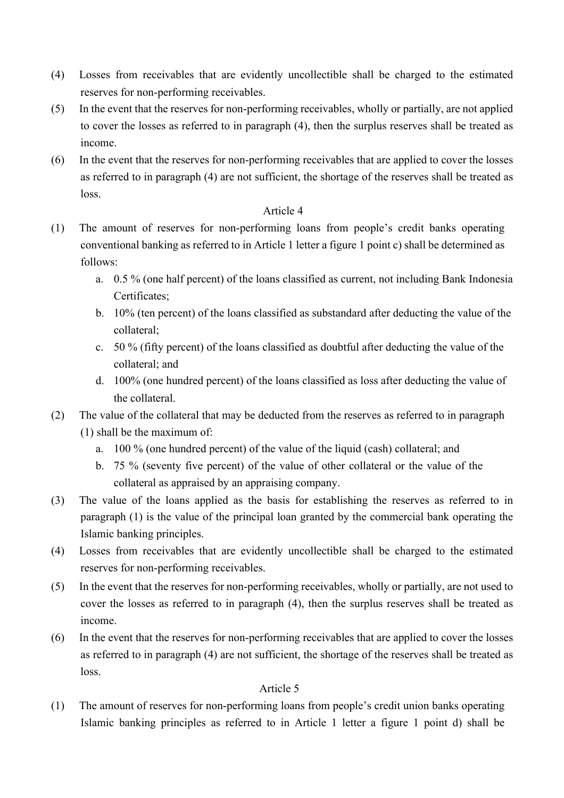- (4) Losses from receivables that are evidently uncollectible shall be charged to the estimated reserves for non-performing receivables.
- (5) In the event that the reserves for non-performing receivables, wholly or partially, are not applied to cover the losses as referred to in paragraph (4), then the surplus reserves shall be treated as income.
- (6) In the event that the reserves for non-performing receivables that are applied to cover the losses as referred to in paragraph (4) are not sufficient, the shortage of the reserves shall be treated as loss.

- (1) The amount of reserves for non-performing loans from people's credit banks operating conventional banking as referred to in Article 1 letter a figure 1 point c) shall be determined as follows:
	- a. 0.5 % (one half percent) of the loans classified as current, not including Bank Indonesia Certificates;
	- b. 10% (ten percent) of the loans classified as substandard after deducting the value of the collateral;
	- c. 50 % (fifty percent) of the loans classified as doubtful after deducting the value of the collateral; and
	- d. 100% (one hundred percent) of the loans classified as loss after deducting the value of the collateral.
- (2) The value of the collateral that may be deducted from the reserves as referred to in paragraph (1) shall be the maximum of:
	- a. 100 % (one hundred percent) of the value of the liquid (cash) collateral; and
	- b. 75 % (seventy five percent) of the value of other collateral or the value of the collateral as appraised by an appraising company.
- (3) The value of the loans applied as the basis for establishing the reserves as referred to in paragraph (1) is the value of the principal loan granted by the commercial bank operating the Islamic banking principles.
- (4) Losses from receivables that are evidently uncollectible shall be charged to the estimated reserves for non-performing receivables.
- (5) In the event that the reserves for non-performing receivables, wholly or partially, are not used to cover the losses as referred to in paragraph (4), then the surplus reserves shall be treated as income.
- (6) In the event that the reserves for non-performing receivables that are applied to cover the losses as referred to in paragraph (4) are not sufficient, the shortage of the reserves shall be treated as loss.

## Article 5

(1) The amount of reserves for non-performing loans from people's credit union banks operating Islamic banking principles as referred to in Article 1 letter a figure 1 point d) shall be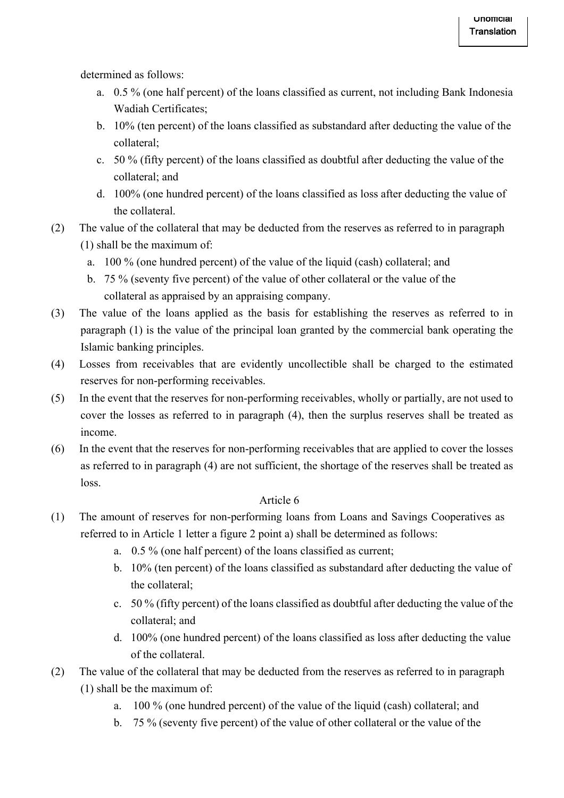determined as follows:

- a. 0.5 % (one half percent) of the loans classified as current, not including Bank Indonesia Wadiah Certificates;
- b. 10% (ten percent) of the loans classified as substandard after deducting the value of the collateral;
- c. 50 % (fifty percent) of the loans classified as doubtful after deducting the value of the collateral; and
- d. 100% (one hundred percent) of the loans classified as loss after deducting the value of the collateral.
- (2) The value of the collateral that may be deducted from the reserves as referred to in paragraph (1) shall be the maximum of:
	- a. 100 % (one hundred percent) of the value of the liquid (cash) collateral; and
	- b. 75 % (seventy five percent) of the value of other collateral or the value of the collateral as appraised by an appraising company.
- (3) The value of the loans applied as the basis for establishing the reserves as referred to in paragraph (1) is the value of the principal loan granted by the commercial bank operating the Islamic banking principles.
- (4) Losses from receivables that are evidently uncollectible shall be charged to the estimated reserves for non-performing receivables.
- (5) In the event that the reserves for non-performing receivables, wholly or partially, are not used to cover the losses as referred to in paragraph (4), then the surplus reserves shall be treated as income.
- (6) In the event that the reserves for non-performing receivables that are applied to cover the losses as referred to in paragraph (4) are not sufficient, the shortage of the reserves shall be treated as loss.

- (1) The amount of reserves for non-performing loans from Loans and Savings Cooperatives as referred to in Article 1 letter a figure 2 point a) shall be determined as follows:
	- a. 0.5 % (one half percent) of the loans classified as current;
	- b. 10% (ten percent) of the loans classified as substandard after deducting the value of the collateral;
	- c. 50 % (fifty percent) of the loans classified as doubtful after deducting the value of the collateral; and
	- d. 100% (one hundred percent) of the loans classified as loss after deducting the value of the collateral.
- (2) The value of the collateral that may be deducted from the reserves as referred to in paragraph (1) shall be the maximum of:
	- a. 100 % (one hundred percent) of the value of the liquid (cash) collateral; and
	- b. 75 % (seventy five percent) of the value of other collateral or the value of the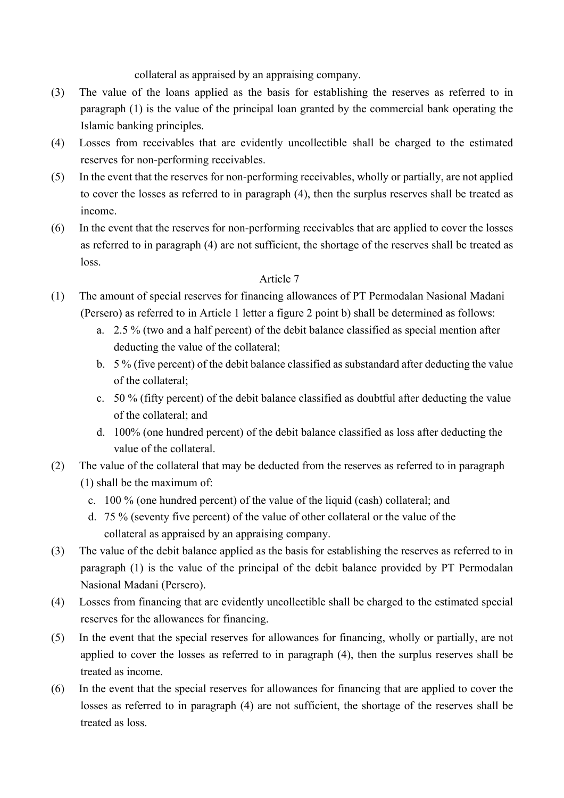collateral as appraised by an appraising company.

- (3) The value of the loans applied as the basis for establishing the reserves as referred to in paragraph (1) is the value of the principal loan granted by the commercial bank operating the Islamic banking principles.
- (4) Losses from receivables that are evidently uncollectible shall be charged to the estimated reserves for non-performing receivables.
- (5) In the event that the reserves for non-performing receivables, wholly or partially, are not applied to cover the losses as referred to in paragraph (4), then the surplus reserves shall be treated as income.
- (6) In the event that the reserves for non-performing receivables that are applied to cover the losses as referred to in paragraph (4) are not sufficient, the shortage of the reserves shall be treated as loss.

- (1) The amount of special reserves for financing allowances of PT Permodalan Nasional Madani (Persero) as referred to in Article 1 letter a figure 2 point b) shall be determined as follows:
	- a. 2.5 % (two and a half percent) of the debit balance classified as special mention after deducting the value of the collateral;
	- b. 5 % (five percent) of the debit balance classified as substandard after deducting the value of the collateral;
	- c. 50 % (fifty percent) of the debit balance classified as doubtful after deducting the value of the collateral; and
	- d. 100% (one hundred percent) of the debit balance classified as loss after deducting the value of the collateral.
- (2) The value of the collateral that may be deducted from the reserves as referred to in paragraph (1) shall be the maximum of:
	- c. 100 % (one hundred percent) of the value of the liquid (cash) collateral; and
	- d. 75 % (seventy five percent) of the value of other collateral or the value of the collateral as appraised by an appraising company.
- (3) The value of the debit balance applied as the basis for establishing the reserves as referred to in paragraph (1) is the value of the principal of the debit balance provided by PT Permodalan Nasional Madani (Persero).
- (4) Losses from financing that are evidently uncollectible shall be charged to the estimated special reserves for the allowances for financing.
- (5) In the event that the special reserves for allowances for financing, wholly or partially, are not applied to cover the losses as referred to in paragraph (4), then the surplus reserves shall be treated as income.
- (6) In the event that the special reserves for allowances for financing that are applied to cover the losses as referred to in paragraph (4) are not sufficient, the shortage of the reserves shall be treated as loss.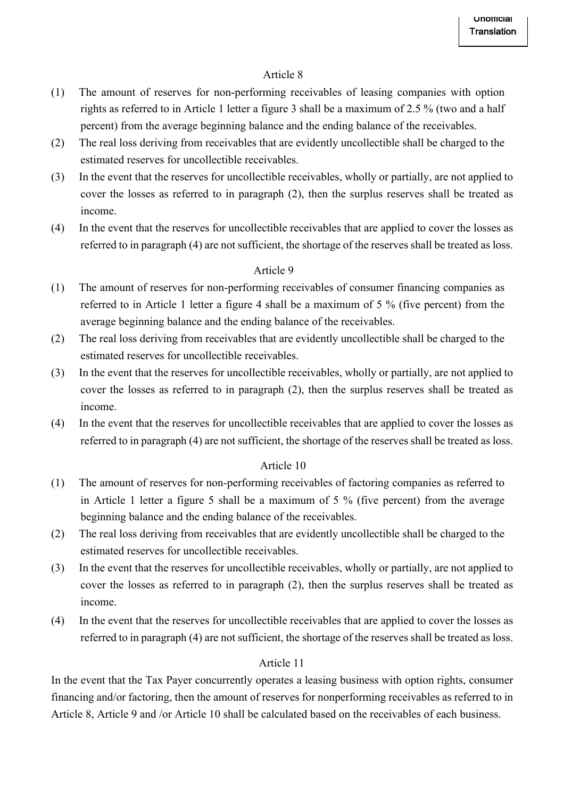- (1) The amount of reserves for non-performing receivables of leasing companies with option rights as referred to in Article 1 letter a figure 3 shall be a maximum of 2.5 % (two and a half percent) from the average beginning balance and the ending balance of the receivables.
- (2) The real loss deriving from receivables that are evidently uncollectible shall be charged to the estimated reserves for uncollectible receivables.
- (3) In the event that the reserves for uncollectible receivables, wholly or partially, are not applied to cover the losses as referred to in paragraph (2), then the surplus reserves shall be treated as income.
- (4) In the event that the reserves for uncollectible receivables that are applied to cover the losses as referred to in paragraph (4) are not sufficient, the shortage of the reserves shall be treated as loss.

### Article 9

- (1) The amount of reserves for non-performing receivables of consumer financing companies as referred to in Article 1 letter a figure 4 shall be a maximum of 5 % (five percent) from the average beginning balance and the ending balance of the receivables.
- (2) The real loss deriving from receivables that are evidently uncollectible shall be charged to the estimated reserves for uncollectible receivables.
- (3) In the event that the reserves for uncollectible receivables, wholly or partially, are not applied to cover the losses as referred to in paragraph (2), then the surplus reserves shall be treated as income.
- (4) In the event that the reserves for uncollectible receivables that are applied to cover the losses as referred to in paragraph (4) are not sufficient, the shortage of the reserves shall be treated as loss.

## Article 10

- (1) The amount of reserves for non-performing receivables of factoring companies as referred to in Article 1 letter a figure 5 shall be a maximum of 5 % (five percent) from the average beginning balance and the ending balance of the receivables.
- (2) The real loss deriving from receivables that are evidently uncollectible shall be charged to the estimated reserves for uncollectible receivables.
- (3) In the event that the reserves for uncollectible receivables, wholly or partially, are not applied to cover the losses as referred to in paragraph (2), then the surplus reserves shall be treated as income.
- (4) In the event that the reserves for uncollectible receivables that are applied to cover the losses as referred to in paragraph (4) are not sufficient, the shortage of the reserves shall be treated as loss.

#### Article 11

In the event that the Tax Payer concurrently operates a leasing business with option rights, consumer financing and/or factoring, then the amount of reserves for nonperforming receivables as referred to in Article 8, Article 9 and /or Article 10 shall be calculated based on the receivables of each business.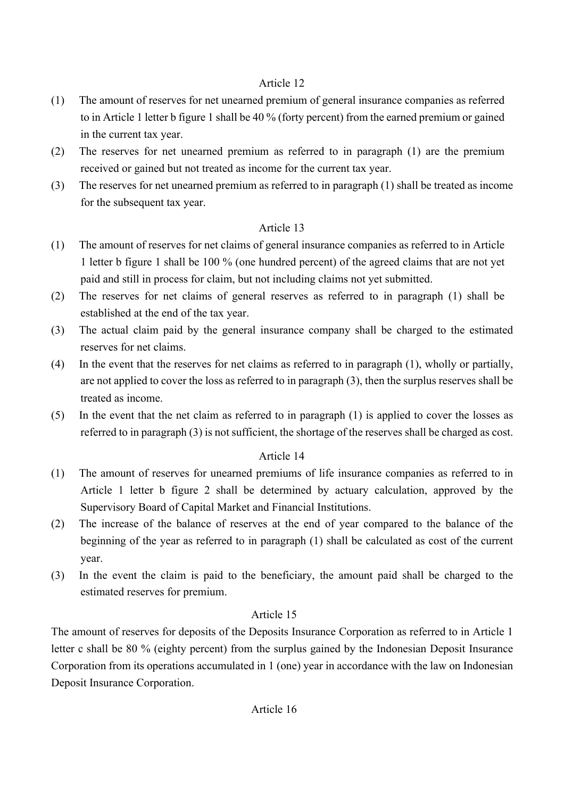- (1) The amount of reserves for net unearned premium of general insurance companies as referred to in Article 1 letter b figure 1 shall be 40 % (forty percent) from the earned premium or gained in the current tax year.
- (2) The reserves for net unearned premium as referred to in paragraph (1) are the premium received or gained but not treated as income for the current tax year.
- (3) The reserves for net unearned premium as referred to in paragraph (1) shall be treated as income for the subsequent tax year.

# Article 13

- (1) The amount of reserves for net claims of general insurance companies as referred to in Article 1 letter b figure 1 shall be 100 % (one hundred percent) of the agreed claims that are not yet paid and still in process for claim, but not including claims not yet submitted.
- (2) The reserves for net claims of general reserves as referred to in paragraph (1) shall be established at the end of the tax year.
- (3) The actual claim paid by the general insurance company shall be charged to the estimated reserves for net claims.
- (4) In the event that the reserves for net claims as referred to in paragraph (1), wholly or partially, are not applied to cover the loss as referred to in paragraph (3), then the surplus reserves shall be treated as income.
- (5) In the event that the net claim as referred to in paragraph (1) is applied to cover the losses as referred to in paragraph (3) is not sufficient, the shortage of the reserves shall be charged as cost.

## Article 14

- (1) The amount of reserves for unearned premiums of life insurance companies as referred to in Article 1 letter b figure 2 shall be determined by actuary calculation, approved by the Supervisory Board of Capital Market and Financial Institutions.
- (2) The increase of the balance of reserves at the end of year compared to the balance of the beginning of the year as referred to in paragraph (1) shall be calculated as cost of the current year.
- (3) In the event the claim is paid to the beneficiary, the amount paid shall be charged to the estimated reserves for premium.

## Article 15

The amount of reserves for deposits of the Deposits Insurance Corporation as referred to in Article 1 letter c shall be 80 % (eighty percent) from the surplus gained by the Indonesian Deposit Insurance Corporation from its operations accumulated in 1 (one) year in accordance with the law on Indonesian Deposit Insurance Corporation.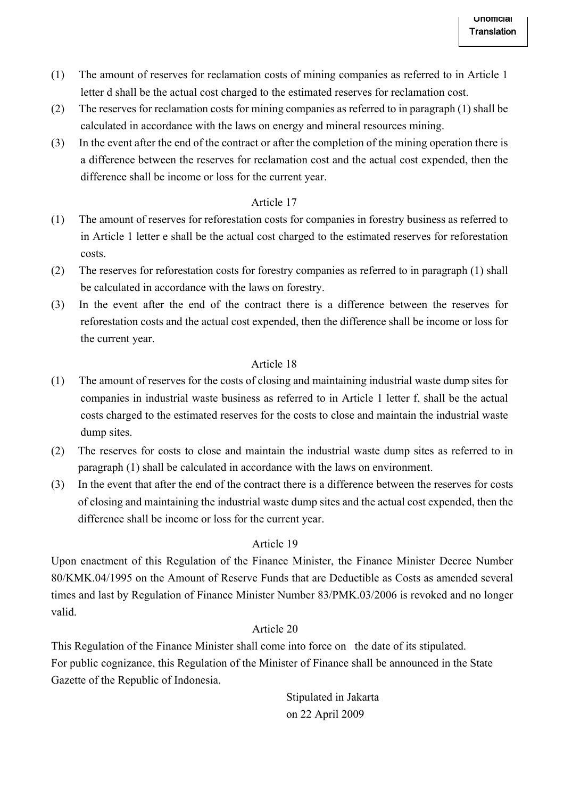- (1) The amount of reserves for reclamation costs of mining companies as referred to in Article 1 letter d shall be the actual cost charged to the estimated reserves for reclamation cost.
- (2) The reserves for reclamation costs for mining companies as referred to in paragraph (1) shall be calculated in accordance with the laws on energy and mineral resources mining.
- (3) In the event after the end of the contract or after the completion of the mining operation there is a difference between the reserves for reclamation cost and the actual cost expended, then the difference shall be income or loss for the current year.

- (1) The amount of reserves for reforestation costs for companies in forestry business as referred to in Article 1 letter e shall be the actual cost charged to the estimated reserves for reforestation costs.
- (2) The reserves for reforestation costs for forestry companies as referred to in paragraph (1) shall be calculated in accordance with the laws on forestry.
- (3) In the event after the end of the contract there is a difference between the reserves for reforestation costs and the actual cost expended, then the difference shall be income or loss for the current year.

## Article 18

- (1) The amount of reserves for the costs of closing and maintaining industrial waste dump sites for companies in industrial waste business as referred to in Article 1 letter f, shall be the actual costs charged to the estimated reserves for the costs to close and maintain the industrial waste dump sites.
- (2) The reserves for costs to close and maintain the industrial waste dump sites as referred to in paragraph (1) shall be calculated in accordance with the laws on environment.
- (3) In the event that after the end of the contract there is a difference between the reserves for costs of closing and maintaining the industrial waste dump sites and the actual cost expended, then the difference shall be income or loss for the current year.

## Article 19

Upon enactment of this Regulation of the Finance Minister, the Finance Minister Decree Number 80/KMK.04/1995 on the Amount of Reserve Funds that are Deductible as Costs as amended several times and last by Regulation of Finance Minister Number 83/PMK.03/2006 is revoked and no longer valid.

## Article 20

This Regulation of the Finance Minister shall come into force on the date of its stipulated. For public cognizance, this Regulation of the Minister of Finance shall be announced in the State Gazette of the Republic of Indonesia.

> Stipulated in Jakarta on 22 April 2009